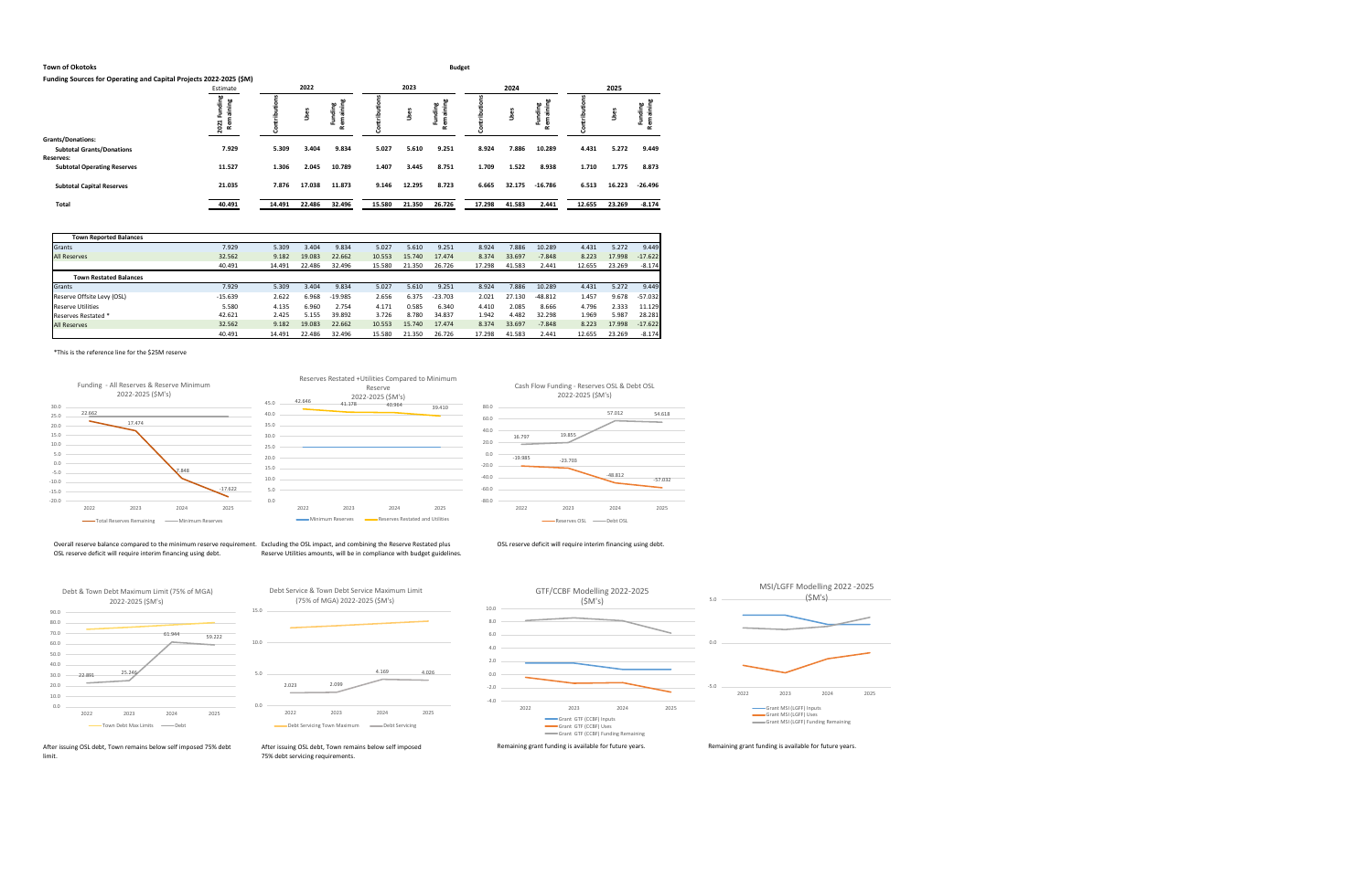# **Town of Okotoks Budget**

|  | Funding Sources for Operating and Capital Projects 2022-2025 (\$M) |  |  |  |
|--|--------------------------------------------------------------------|--|--|--|
|--|--------------------------------------------------------------------|--|--|--|

Overall reserve balance compared to the minimum reserve requirement. Excluding the OSL impact, and combining the Reserve Restated plus OSL reserve deficit will require interim financing using debt.

|                                    | Estimate                |        | 2022   |         |        | 2023    |                          |        | 2024   |                                           | 2025   |        |                      |  |  |
|------------------------------------|-------------------------|--------|--------|---------|--------|---------|--------------------------|--------|--------|-------------------------------------------|--------|--------|----------------------|--|--|
|                                    | ä<br>۹ğ<br>2.<br>ដ<br>æ |        | Uses   | Ξ.<br>ъ |        | ă,<br>š | aining<br>ding<br>3<br>œ |        | Uses   | œ<br>ainin<br>unding<br>$\mathbf{a}$<br>œ |        | ω<br>š | aining<br>٣Ē.<br>Rem |  |  |
| <b>Grants/Donations:</b>           |                         |        |        |         |        |         |                          |        |        |                                           |        |        |                      |  |  |
| <b>Subtotal Grants/Donations</b>   | 7.929                   | 5.309  | 3.404  | 9.834   | 5.027  | 5.610   | 9.251                    | 8.924  | 7.886  | 10.289                                    | 4.431  | 5.272  | 9.449                |  |  |
| <b>Reserves:</b>                   |                         |        |        |         |        |         |                          |        |        |                                           |        |        |                      |  |  |
| <b>Subtotal Operating Reserves</b> | 11.527                  | 1.306  | 2.045  | 10.789  | 1.407  | 3.445   | 8.751                    | 1.709  | 1.522  | 8.938                                     | 1.710  | 1.775  | 8.873                |  |  |
| <b>Subtotal Capital Reserves</b>   | 21.035                  | 7.876  | 17.038 | 11.873  | 9.146  | 12.295  | 8.723                    | 6.665  | 32.175 | $-16.786$                                 | 6.513  | 16.223 | $-26.496$            |  |  |
| Total                              | 40.491                  | 14.491 | 22.486 | 32.496  | 15.580 | 21.350  | 26.726                   | 17.298 | 41.583 | 2.441                                     | 12.655 | 23.269 | $-8.174$             |  |  |
|                                    |                         |        |        |         |        |         |                          |        |        |                                           |        |        |                      |  |  |

| <b>Town Reported Balances</b> |           |        |        |           |        |        |           |        |        |           |        |        |           |
|-------------------------------|-----------|--------|--------|-----------|--------|--------|-----------|--------|--------|-----------|--------|--------|-----------|
| Grants                        | 7.929     | 5.309  | 3.404  | 9.834     | 5.027  | 5.610  | 9.251     | 8.924  | 7.886  | 10.289    | 4.431  | 5.272  | 9.449     |
| <b>All Reserves</b>           | 32.562    | 9.182  | 19.083 | 22.662    | 10.553 | 15.740 | 17.474    | 8.374  | 33.697 | $-7.848$  | 8.223  | 17.998 | $-17.622$ |
|                               | 40.491    | 14.491 | 22.486 | 32.496    | 15.580 | 21.350 | 26.726    | 17.298 | 41.583 | 2.441     | 12.655 | 23.269 | $-8.174$  |
| <b>Town Restated Balances</b> |           |        |        |           |        |        |           |        |        |           |        |        |           |
| <b>Grants</b>                 | 7.929     | 5.309  | 3.404  | 9.834     | 5.027  | 5.610  | 9.251     | 8.924  | 7.886  | 10.289    | 4.431  | 5.272  | 9.449     |
| Reserve Offsite Levy (OSL)    | $-15.639$ | 2.622  | 6.968  | $-19.985$ | 2.656  | 6.375  | $-23.703$ | 2.021  | 27.130 | $-48.812$ | 1.457  | 9.678  | $-57.032$ |
| <b>Reserve Utilities</b>      | 5.580     | 4.135  | 6.960  | 2.754     | 4.171  | 0.585  | 6.340     | 4.410  | 2.085  | 8.666     | 4.796  | 2.333  | 11.129    |
| Reserves Restated *           | 42.621    | 2.425  | 5.155  | 39.892    | 3.726  | 8.780  | 34.837    | 1.942  | 4.482  | 32.298    | 1.969  | 5.987  | 28.281    |
| <b>All Reserves</b>           | 32.562    | 9.182  | 19.083 | 22.662    | 10.553 | 15.740 | 17.474    | 8.374  | 33.697 | $-7.848$  | 8.223  | 17.998 | $-17.622$ |
|                               | 40.491    | 14.491 | 22.486 | 32.496    | 15.580 | 21.350 | 26.726    | 17.298 | 41.583 | 2.441     | 12.655 | 23.269 | $-8.174$  |

\*This is the reference line for the \$25M reserve

limit.

Reserve Utilities amounts, will be in compliance with budget guidelines.

OSL reserve deficit will require interim financing using debt.

After issuing OSL debt, Town remains below self imposed 75% debt servicing requirements.





16.797 19.855

57.012 54.618

-23.703 -48.812 -57.032 2022 2023 2024 2025





Cash Flow Funding - Reserves OSL & Debt OSL 2022-2025 (\$M's)